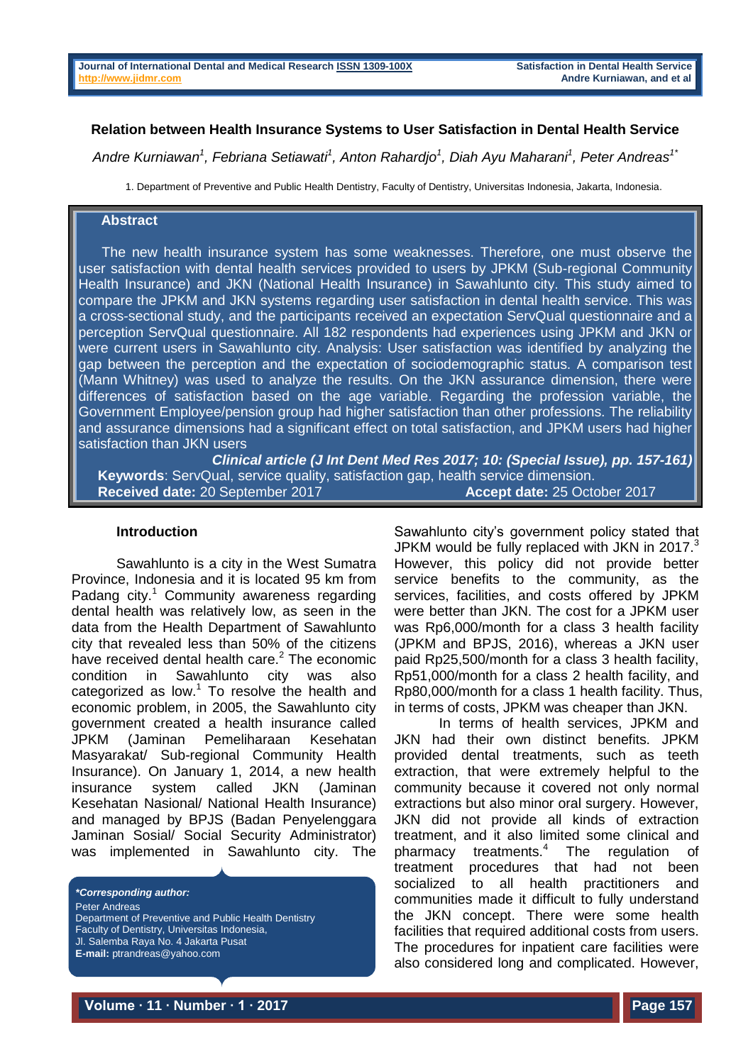#### **Relation between Health Insurance Systems to User Satisfaction in Dental Health Service**

*Andre Kurniawan<sup>1</sup> , Febriana Setiawati<sup>1</sup> , Anton Rahardjo<sup>1</sup> , Diah Ayu Maharani<sup>1</sup> , Peter Andreas1\**

1. Department of Preventive and Public Health Dentistry, Faculty of Dentistry, Universitas Indonesia, Jakarta, Indonesia.

### **Abstract**

 The new health insurance system has some weaknesses. Therefore, one must observe the user satisfaction with dental health services provided to users by JPKM (Sub-regional Community Health Insurance) and JKN (National Health Insurance) in Sawahlunto city. This study aimed to compare the JPKM and JKN systems regarding user satisfaction in dental health service. This was a cross-sectional study, and the participants received an expectation ServQual questionnaire and a perception ServQual questionnaire. All 182 respondents had experiences using JPKM and JKN or were current users in Sawahlunto city. Analysis: User satisfaction was identified by analyzing the gap between the perception and the expectation of sociodemographic status. A comparison test (Mann Whitney) was used to analyze the results. On the JKN assurance dimension, there were differences of satisfaction based on the age variable. Regarding the profession variable, the Government Employee/pension group had higher satisfaction than other professions. The reliability and assurance dimensions had a significant effect on total satisfaction, and JPKM users had higher satisfaction than JKN users

*Clinical article (J Int Dent Med Res 2017; 10: (Special Issue), pp. 157-161)*   **Keywords**: ServQual, service quality, satisfaction gap, health service dimension.  **Received date:** 20 September 2017 **Accept date:** 25 October 2017

#### **Introduction**

Sawahlunto is a city in the West Sumatra Province, Indonesia and it is located 95 km from Padang city.<sup>1</sup> Community awareness regarding dental health was relatively low, as seen in the data from the Health Department of Sawahlunto city that revealed less than 50% of the citizens have received dental health care.<sup>2</sup> The economic condition in Sawahlunto city was also categorized as low.<sup>1</sup> To resolve the health and economic problem, in 2005, the Sawahlunto city government created a health insurance called JPKM (Jaminan Pemeliharaan Kesehatan Masyarakat/ Sub-regional Community Health Insurance). On January 1, 2014, a new health insurance system called JKN (Jaminan Kesehatan Nasional/ National Health Insurance) and managed by BPJS (Badan Penyelenggara Jaminan Sosial/ Social Security Administrator) was implemented in Sawahlunto city. The

*\*Corresponding author:* Peter Andreas Department of Preventive and Public Health Dentistry Faculty of Dentistry, Universitas Indonesia, Jl. Salemba Raya No. 4 Jakarta Pusat **E-mail:** ptrandreas@yahoo.com

Sawahlunto city's government policy stated that JPKM would be fully replaced with JKN in 2017. $3$ However, this policy did not provide better service benefits to the community, as the services, facilities, and costs offered by JPKM were better than JKN. The cost for a JPKM user was Rp6,000/month for a class 3 health facility (JPKM and BPJS, 2016), whereas a JKN user paid Rp25,500/month for a class 3 health facility, Rp51,000/month for a class 2 health facility, and Rp80,000/month for a class 1 health facility. Thus, in terms of costs, JPKM was cheaper than JKN.

In terms of health services, JPKM and JKN had their own distinct benefits. JPKM provided dental treatments, such as teeth extraction, that were extremely helpful to the community because it covered not only normal extractions but also minor oral surgery. However, JKN did not provide all kinds of extraction treatment, and it also limited some clinical and pharmacy treatments.<sup>4</sup> The regulation of treatment procedures that had not been socialized to all health practitioners and communities made it difficult to fully understand the JKN concept. There were some health facilities that required additional costs from users. The procedures for inpatient care facilities were also considered long and complicated. However,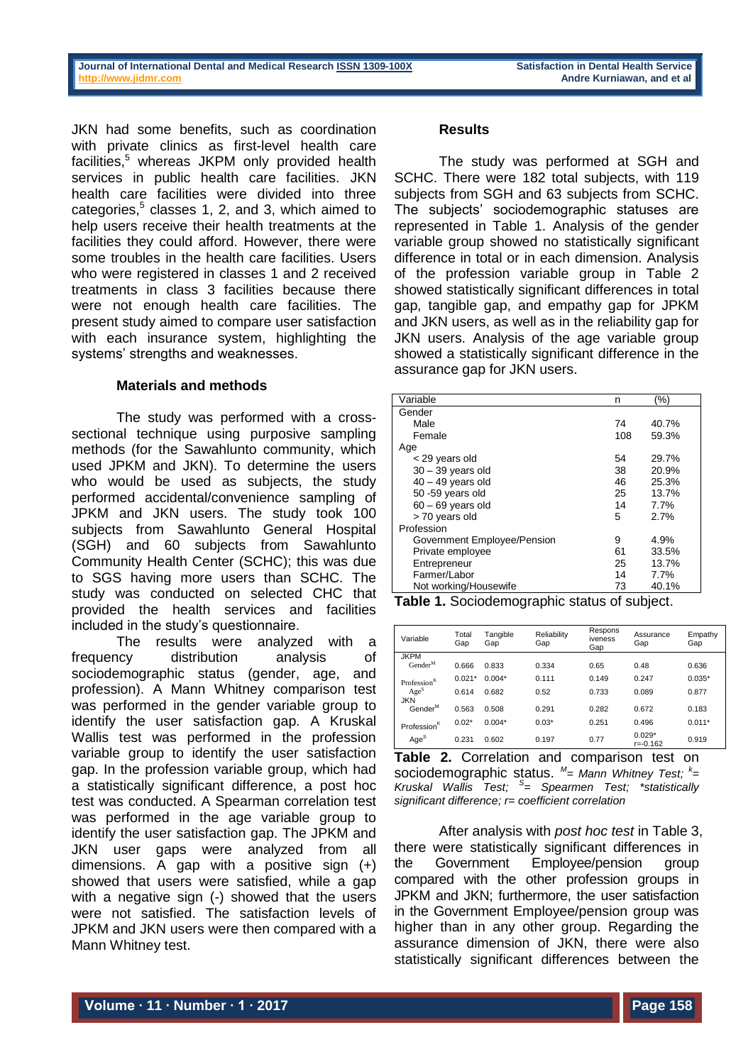JKN had some benefits, such as coordination with private clinics as first-level health care facilities,<sup>5</sup> whereas JKPM only provided health services in public health care facilities. JKN health care facilities were divided into three categories,<sup>5</sup> classes 1, 2, and 3, which aimed to help users receive their health treatments at the facilities they could afford. However, there were some troubles in the health care facilities. Users who were registered in classes 1 and 2 received treatments in class 3 facilities because there were not enough health care facilities. The present study aimed to compare user satisfaction with each insurance system, highlighting the systems' strengths and weaknesses.

## **Materials and methods**

The study was performed with a crosssectional technique using purposive sampling methods (for the Sawahlunto community, which used JPKM and JKN). To determine the users who would be used as subiects, the study performed accidental/convenience sampling of JPKM and JKN users. The study took 100 subjects from Sawahlunto General Hospital (SGH) and 60 subjects from Sawahlunto Community Health Center (SCHC); this was due to SGS having more users than SCHC. The study was conducted on selected CHC that provided the health services and facilities included in the study's questionnaire.

The results were analyzed with a frequency distribution analysis of sociodemographic status (gender, age, and profession). A Mann Whitney comparison test was performed in the gender variable group to identify the user satisfaction gap. A Kruskal Wallis test was performed in the profession variable group to identify the user satisfaction gap. In the profession variable group, which had a statistically significant difference, a post hoc test was conducted. A Spearman correlation test was performed in the age variable group to identify the user satisfaction gap. The JPKM and JKN user gaps were analyzed from all dimensions. A gap with a positive sign  $(+)$ showed that users were satisfied, while a gap with a negative sign (-) showed that the users were not satisfied. The satisfaction levels of JPKM and JKN users were then compared with a Mann Whitney test.

#### **Results**

The study was performed at SGH and SCHC. There were 182 total subjects, with 119 subjects from SGH and 63 subjects from SCHC. The subjects' sociodemographic statuses are represented in Table 1. Analysis of the gender variable group showed no statistically significant difference in total or in each dimension. Analysis of the profession variable group in Table 2 showed statistically significant differences in total gap, tangible gap, and empathy gap for JPKM and JKN users, as well as in the reliability gap for JKN users. Analysis of the age variable group showed a statistically significant difference in the assurance gap for JKN users.

| Variable                    | n   | (%)   |
|-----------------------------|-----|-------|
| Gender                      |     |       |
| Male                        | 74  | 40.7% |
| Female                      | 108 | 59.3% |
| Age                         |     |       |
| < 29 years old              | 54  | 29.7% |
| $30 - 39$ years old         | 38  | 20.9% |
| $40 - 49$ years old         | 46  | 25.3% |
| 50 - 59 years old           | 25  | 13.7% |
| $60 - 69$ years old         | 14  | 7.7%  |
| > 70 years old              | 5   | 2.7%  |
| Profession                  |     |       |
| Government Employee/Pension | 9   | 4.9%  |
| Private employee            | 61  | 33.5% |
| Entrepreneur                | 25  | 13.7% |
| Farmer/Labor                | 14  | 7.7%  |
| Not working/Housewife       | 73  | 40.1% |

**Table 1.** Sociodemographic status of subject.

| Variable                       | Total<br>Gap | Tangible<br>Gap | Reliability<br>Gap | Respons<br>iveness<br>Gap | Assurance<br>Gap         | Empathy<br>Gap |
|--------------------------------|--------------|-----------------|--------------------|---------------------------|--------------------------|----------------|
| <b>JKPM</b>                    |              |                 |                    |                           |                          |                |
| $Gender^M$                     | 0.666        | 0.833           | 0.334              | 0.65                      | 0.48                     | 0.636          |
| Professor <sup>K</sup>         | $0.021*$     | $0.004*$        | 0.111              | 0.149                     | 0.247                    | $0.035*$       |
| Age <sup>S</sup><br><b>JKN</b> | 0.614        | 0.682           | 0.52               | 0.733                     | 0.089                    | 0.877          |
| Gender <sup>M</sup>            | 0.563        | 0.508           | 0.291              | 0.282                     | 0.672                    | 0.183          |
| Profession <sup>K</sup>        | $0.02*$      | $0.004*$        | $0.03*$            | 0.251                     | 0.496                    | $0.011*$       |
| Age <sup>S</sup>               | 0.231        | 0.602           | 0.197              | 0.77                      | $0.029*$<br>$r = -0.162$ | 0.919          |

**Table 2.** Correlation and comparison test on sociodemographic status. *M = Mann Whitney Test; <sup>k</sup> = Kruskal Wallis Test; <sup>S</sup> = Spearmen Test; \*statistically significant difference; r= coefficient correlation*

After analysis with *post hoc test* in Table 3, there were statistically significant differences in the Government Employee/pension group compared with the other profession groups in JPKM and JKN; furthermore, the user satisfaction in the Government Employee/pension group was higher than in any other group. Regarding the assurance dimension of JKN, there were also statistically significant differences between the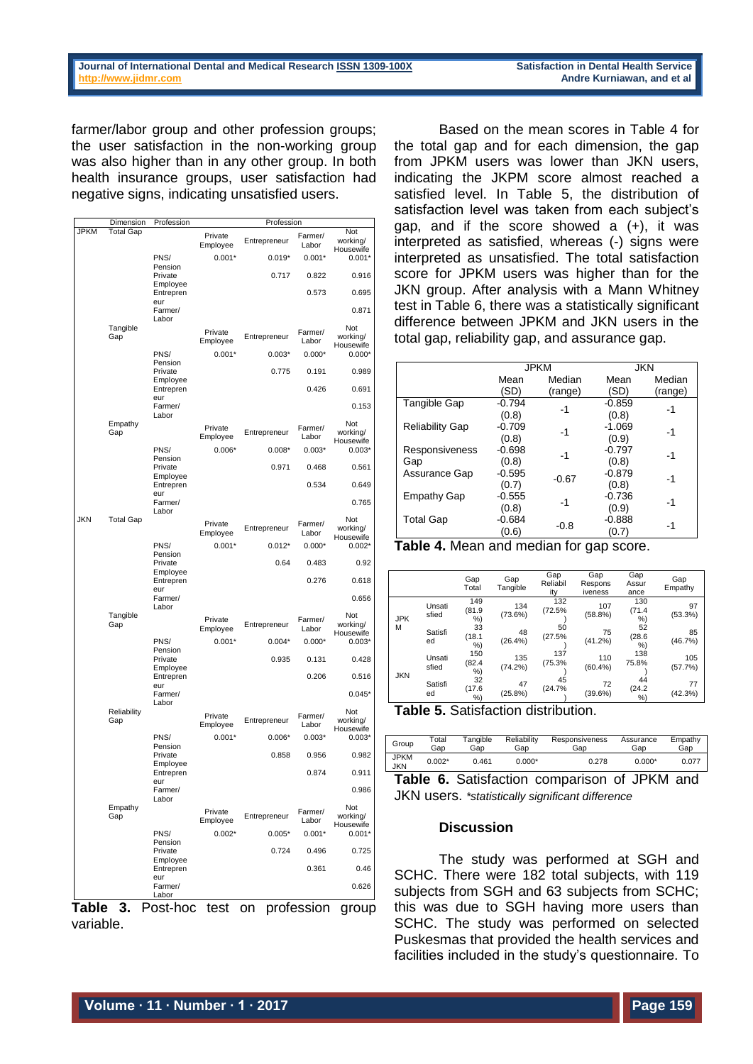farmer/labor group and other profession groups; the user satisfaction in the non-working group was also higher than in any other group. In both health insurance groups, user satisfaction had negative signs, indicating unsatisfied users.

|             | Dimension          | Profession                   | Profession          |              |                  |                              |  |
|-------------|--------------------|------------------------------|---------------------|--------------|------------------|------------------------------|--|
| <b>JPKM</b> | <b>Total Gap</b>   |                              | Private<br>Employee | Entrepreneur | Farmer/<br>Labor | Not<br>working/<br>Housewife |  |
|             |                    | PNS/<br>Pension              | $0.001*$            | $0.019*$     | $0.001*$         | $0.001*$                     |  |
|             |                    | Private<br>Employee          |                     | 0.717        | 0.822            | 0.916                        |  |
|             |                    | Entrepren<br>eur             |                     |              | 0.573            | 0.695                        |  |
|             |                    | Farmer/<br>Labor             |                     |              |                  | 0.871                        |  |
|             | Tangible<br>Gap    |                              | Private<br>Employee | Entrepreneur | Farmer/<br>Labor | Not<br>working/              |  |
|             |                    | PNS/                         | $0.001*$            | $0.003*$     | $0.000*$         | Housewife<br>$0.000*$        |  |
|             |                    | Pension<br>Private           |                     | 0.775        | 0.191            | 0.989                        |  |
|             |                    | Employee<br>Entrepren<br>eur |                     |              | 0.426            | 0.691                        |  |
|             |                    | Farmer/<br>Labor             |                     |              |                  | 0.153                        |  |
|             | Empathy<br>Gap     |                              | Private<br>Employee | Entrepreneur | Farmer/<br>Labor | Not<br>working/<br>Housewife |  |
|             |                    | PNS/<br>Pension              | $0.006*$            | $0.008*$     | $0.003*$         | $0.003*$                     |  |
|             |                    | Private<br>Employee          |                     | 0.971        | 0.468            | 0.561                        |  |
|             |                    | Entrepren<br>eur             |                     |              | 0.534            | 0.649                        |  |
|             |                    | Farmer/<br>Labor             |                     |              |                  | 0.765                        |  |
| <b>JKN</b>  | <b>Total Gap</b>   |                              | Private<br>Employee | Entrepreneur | Farmer/<br>Labor | Not<br>working/<br>Housewife |  |
|             |                    | PNS/<br>Pension              | $0.001*$            | $0.012*$     | $0.000*$         | $0.002*$                     |  |
|             |                    | Private<br>Employee          |                     | 0.64         | 0.483            | 0.92                         |  |
|             |                    | Entrepren<br>eur             |                     |              | 0.276            | 0.618                        |  |
|             |                    | Farmer/<br>Labor             |                     |              |                  | 0.656                        |  |
|             | Tangible<br>Gap    |                              | Private<br>Employee | Entrepreneur | Farmer/<br>Labor | Not<br>working/<br>Housewife |  |
|             |                    | PNS/<br>Pension              | $0.001*$            | $0.004*$     | $0.000*$         | $0.003*$                     |  |
|             |                    | Private<br>Employee          |                     | 0.935        | 0.131            | 0.428                        |  |
|             |                    | Entrepren<br>eur             |                     |              | 0.206            | 0.516                        |  |
|             |                    | Farmer/<br>Labor             |                     |              |                  | $0.045*$                     |  |
|             | Reliability<br>Gap |                              | Private<br>Employee | Entrepreneur | Farmer/<br>Labor | Not<br>working/<br>Housewife |  |
|             |                    | PNS/<br>Pension              | $0.001*$            | $0.006*$     | $0.003*$         | $0.003*$                     |  |
|             |                    | Private<br>Employee          |                     | 0.858        | 0.956            | 0.982                        |  |
|             |                    | Entrepren<br>eur             |                     |              | 0.874            | 0.911                        |  |
|             |                    | Farmer/<br>Labor             |                     |              |                  | 0.986                        |  |
|             | Empathy<br>Gap     |                              | Private<br>Employee | Entrepreneur | Farmer/<br>Labor | Not<br>working/<br>Housewife |  |
|             |                    | PNS/<br>Pension              | $0.002*$            | $0.005*$     | $0.001*$         | $0.001*$                     |  |
|             |                    | Private<br>Employee          |                     | 0.724        | 0.496            | 0.725                        |  |
|             |                    | Entrepren<br>eur             |                     |              | 0.361            | 0.46                         |  |
|             |                    | Farmer/<br>Labor             |                     |              |                  | 0.626                        |  |

**Table 3.** Post-hoc test on profession group variable.

Based on the mean scores in Table 4 for the total gap and for each dimension, the gap from JPKM users was lower than JKN users, indicating the JKPM score almost reached a satisfied level. In Table 5, the distribution of satisfaction level was taken from each subject's gap, and if the score showed a (+), it was interpreted as satisfied, whereas (-) signs were interpreted as unsatisfied. The total satisfaction score for JPKM users was higher than for the JKN group. After analysis with a Mann Whitney test in Table 6, there was a statistically significant difference between JPKM and JKN users in the total gap, reliability gap, and assurance gap.

|                        | <b>JPKM</b> |         |          | <b>JKN</b> |
|------------------------|-------------|---------|----------|------------|
|                        | Mean        | Median  | Mean     | Median     |
|                        | (SD)        | (range) | (SD)     | (range)    |
| Tangible Gap           | -0.794      | $-1$    | $-0.859$ | -1         |
|                        | (0.8)       |         | (0.8)    |            |
| <b>Reliability Gap</b> | $-0.709$    | -1      | $-1.069$ | -1         |
|                        | (0.8)       |         | (0.9)    |            |
| Responsiveness         | $-0.698$    | -1      | $-0.797$ | $-1$       |
| Gap                    | (0.8)       |         | (0.8)    |            |
| Assurance Gap          | $-0.595$    | $-0.67$ | $-0.879$ | $-1$       |
|                        | (0.7)       |         | (0.8)    |            |
| <b>Empathy Gap</b>     | $-0.555$    | -1      | $-0.736$ | -1         |
|                        | (0.8)       |         | (0.9)    |            |
| <b>Total Gap</b>       | $-0.684$    | $-0.8$  | $-0.888$ | -1         |
|                        | (0.6)       |         | (0.7)    |            |

| Table 4. Mean and median for gap score. |  |  |
|-----------------------------------------|--|--|
|-----------------------------------------|--|--|

|            |                 | Gap<br>Total       | Gap<br>Tangible  | Gap<br>Reliabil<br>ity | Gap<br>Respons<br>iveness | Gap<br>Assur<br>ance | Gap<br>Empathy |
|------------|-----------------|--------------------|------------------|------------------------|---------------------------|----------------------|----------------|
| <b>JPK</b> | Unsati<br>sfied | 149<br>(81.9<br>%) | 134<br>(73.6%)   | 132<br>(72.5%          | 107<br>(58.8%)            | 130<br>(71.4)<br>%)  | 97<br>(53.3%)  |
| М          | Satisfi<br>ed   | 33<br>(18.1)<br>%) | 48<br>(26.4%)    | 50<br>(27.5%           | 75<br>(41.2%)             | 52<br>(28.6)<br>%)   | 85<br>(46.7%)  |
|            | Unsati<br>sfied | 150<br>(82.4<br>%) | 135<br>(74.2%)   | 137<br>(75.3%          | 110<br>(60.4%             | 138<br>75.8%         | 105<br>(57.7%) |
| <b>JKN</b> | Satisfi<br>ed   | 32<br>(17.6)<br>%  | 47<br>$(25.8\%)$ | 45<br>(24.7%           | 72<br>(39.6%)             | 44<br>(24.2)<br>%    | 77<br>(42.3%)  |

**Table 5.** Satisfaction distribution.

| Group              | Total    | Tangible | Reliability | <b>Responsiveness</b> | Assurance | Empathy |
|--------------------|----------|----------|-------------|-----------------------|-----------|---------|
|                    | Gap      | Gap      | Gap         | Gap                   | Gap       | Gap     |
| <b>JPKM</b><br>JKN | $0.002*$ | 0.461    | $0.000*$    | 0.278                 | $0.000*$  | 0.077   |

**Table 6.** Satisfaction comparison of JPKM and JKN users. *\*statistically significant difference*

#### **Discussion**

The study was performed at SGH and SCHC. There were 182 total subjects, with 119 subjects from SGH and 63 subjects from SCHC; this was due to SGH having more users than SCHC. The study was performed on selected Puskesmas that provided the health services and facilities included in the study's questionnaire. To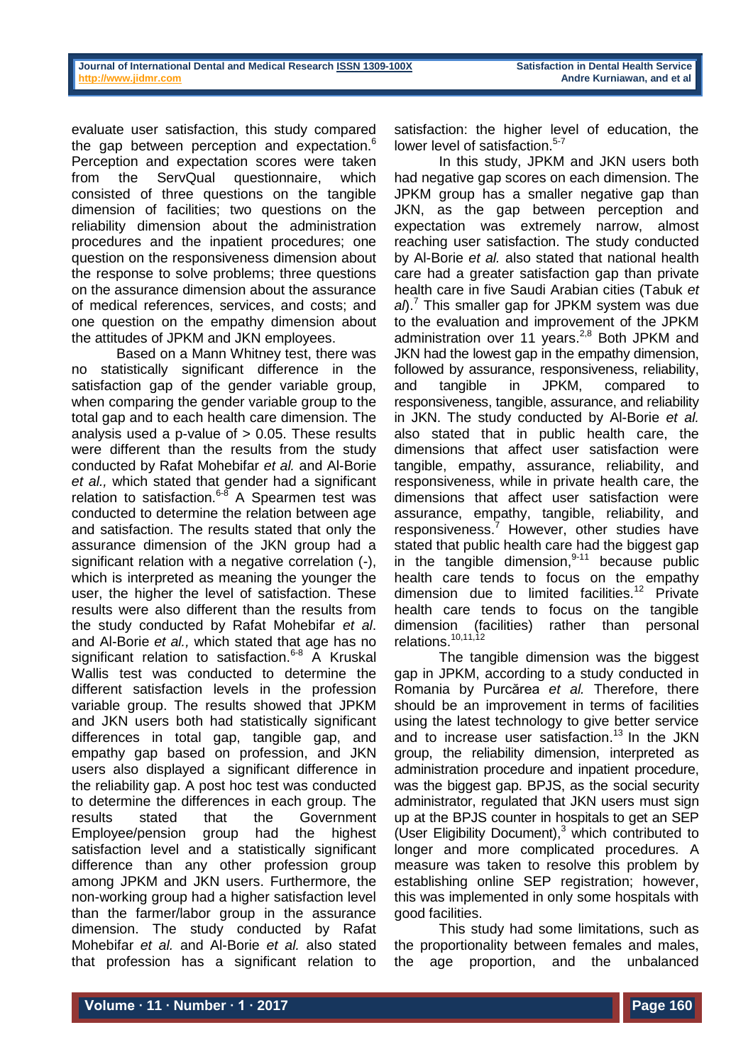evaluate user satisfaction, this study compared the gap between perception and expectation.<sup>6</sup> Perception and expectation scores were taken from the ServQual questionnaire, which consisted of three questions on the tangible dimension of facilities; two questions on the reliability dimension about the administration procedures and the inpatient procedures; one question on the responsiveness dimension about the response to solve problems; three questions on the assurance dimension about the assurance of medical references, services, and costs; and one question on the empathy dimension about the attitudes of JPKM and JKN employees.

Based on a Mann Whitney test, there was no statistically significant difference in the satisfaction gap of the gender variable group, when comparing the gender variable group to the total gap and to each health care dimension. The analysis used a p-value of  $> 0.05$ . These results were different than the results from the study conducted by Rafat Mohebifar *et al.* and Al-Borie *et al.,* which stated that gender had a significant relation to satisfaction.<sup>6-8</sup> A Spearmen test was conducted to determine the relation between age and satisfaction. The results stated that only the assurance dimension of the JKN group had a significant relation with a negative correlation (-), which is interpreted as meaning the younger the user, the higher the level of satisfaction. These results were also different than the results from the study conducted by Rafat Mohebifar *et al*. and Al-Borie *et al.,* which stated that age has no significant relation to satisfaction.<sup>6-8</sup> A Kruskal Wallis test was conducted to determine the different satisfaction levels in the profession variable group. The results showed that JPKM and JKN users both had statistically significant differences in total gap, tangible gap, and empathy gap based on profession, and JKN users also displayed a significant difference in the reliability gap. A post hoc test was conducted to determine the differences in each group. The results stated that the Government Employee/pension group had the highest satisfaction level and a statistically significant difference than any other profession group among JPKM and JKN users. Furthermore, the non-working group had a higher satisfaction level than the farmer/labor group in the assurance dimension. The study conducted by Rafat Mohebifar *et al.* and Al-Borie *et al.* also stated that profession has a significant relation to

satisfaction: the higher level of education, the lower level of satisfaction. 5-7

In this study, JPKM and JKN users both had negative gap scores on each dimension. The JPKM group has a smaller negative gap than JKN, as the gap between perception and expectation was extremely narrow, almost reaching user satisfaction. The study conducted by Al-Borie *et al.* also stated that national health care had a greater satisfaction gap than private health care in five Saudi Arabian cities (Tabuk *et al*). <sup>7</sup> This smaller gap for JPKM system was due to the evaluation and improvement of the JPKM administration over 11 years.<sup>2,8</sup> Both JPKM and JKN had the lowest gap in the empathy dimension, followed by assurance, responsiveness, reliability, and tangible in JPKM, compared to responsiveness, tangible, assurance, and reliability in JKN. The study conducted by Al-Borie *et al.* also stated that in public health care, the dimensions that affect user satisfaction were tangible, empathy, assurance, reliability, and responsiveness, while in private health care, the dimensions that affect user satisfaction were assurance, empathy, tangible, reliability, and responsiveness. <sup>7</sup> However, other studies have stated that public health care had the biggest gap in the tangible dimension,<sup>9-11</sup> because public health care tends to focus on the empathy dimension due to limited facilities.<sup>12</sup> Private health care tends to focus on the tangible dimension (facilities) rather than personal relations.<sup>10,11,12</sup>

The tangible dimension was the biggest gap in JPKM, according to a study conducted in Romania by Purcărea *et al.* Therefore, there should be an improvement in terms of facilities using the latest technology to give better service and to increase user satisfaction.<sup>13</sup> In the JKN group, the reliability dimension, interpreted as administration procedure and inpatient procedure, was the biggest gap. BPJS, as the social security administrator, regulated that JKN users must sign up at the BPJS counter in hospitals to get an SEP (User Eligibility Document), <sup>3</sup> which contributed to longer and more complicated procedures. A measure was taken to resolve this problem by establishing online SEP registration; however, this was implemented in only some hospitals with good facilities.

This study had some limitations, such as the proportionality between females and males, the age proportion, and the unbalanced